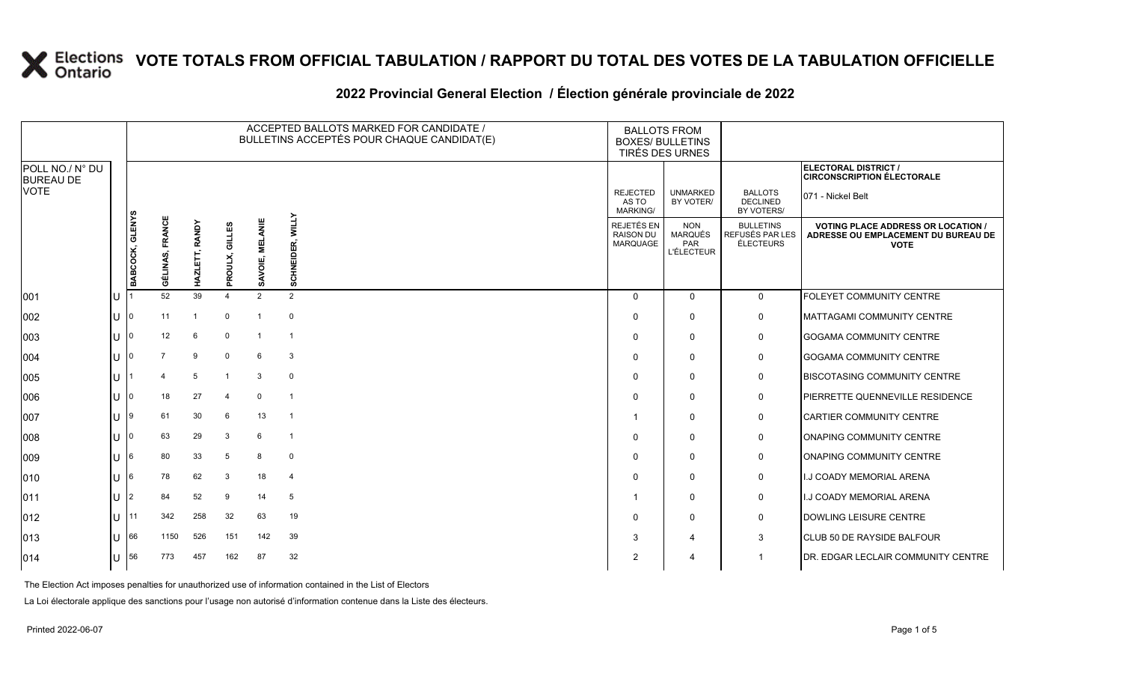### **2022 Provincial General Election / Élection générale provinciale de 2022**

|                                     |              |                 | ACCEPTED BALLOTS MARKED FOR CANDIDATE /<br><b>BALLOTS FROM</b><br>BULLETINS ACCEPTÉS POUR CHAQUE CANDIDAT(E)<br><b>BOXES/ BULLETINS</b><br>TIRÉS DES URNES |                      |                |                           |                            |                                                   |                                                          |                                                  |                                                                                               |
|-------------------------------------|--------------|-----------------|------------------------------------------------------------------------------------------------------------------------------------------------------------|----------------------|----------------|---------------------------|----------------------------|---------------------------------------------------|----------------------------------------------------------|--------------------------------------------------|-----------------------------------------------------------------------------------------------|
| POLL NO./ N° DU<br><b>BUREAU DE</b> |              |                 |                                                                                                                                                            |                      |                |                           |                            |                                                   |                                                          |                                                  | ELECTORAL DISTRICT /<br><b>CIRCONSCRIPTION ÉLECTORALE</b>                                     |
| VOTE                                |              |                 |                                                                                                                                                            |                      |                |                           |                            | <b>REJECTED</b><br>AS TO<br><b>MARKING/</b>       | <b>UNMARKED</b><br>BY VOTER/                             | <b>BALLOTS</b><br><b>DECLINED</b><br>BY VOTERS/  | 071 - Nickel Belt                                                                             |
|                                     |              | BABCOCK, GLENYS | <b>FRANCE</b><br>GÉLINAS,                                                                                                                                  | RANDY<br>Ë,<br>HAZLI | 글<br>PROULX,   | <b>MELANIE</b><br>SAVOIE, | <b>WILLY</b><br>SCHNEIDER, | <b>REJETÉS EN</b><br><b>RAISON DU</b><br>MARQUAGE | <b>NON</b><br><b>MARQUÉS</b><br>PAR<br><b>L'ÉLECTEUR</b> | <b>BULLETINS</b><br>REFUSÉS PAR LES<br>ÉLECTEURS | <b>VOTING PLACE ADDRESS OR LOCATION</b><br>ADRESSE OU EMPLACEMENT DU BUREAU DE<br><b>VOTE</b> |
| 001                                 |              |                 | 52                                                                                                                                                         | 39                   | $\overline{4}$ | $\overline{2}$            | $\overline{2}$             | $\Omega$                                          | $\Omega$                                                 | $\mathbf 0$                                      | FOLEYET COMMUNITY CENTRE                                                                      |
| 002                                 |              |                 | 11                                                                                                                                                         |                      | $\mathbf 0$    |                           | $\mathbf 0$                | $\Omega$                                          | $\Omega$                                                 | 0                                                | MATTAGAMI COMMUNITY CENTRE                                                                    |
| 003                                 | $\mathbf{U}$ |                 | 12                                                                                                                                                         | 6                    | $\mathbf 0$    |                           | -1                         | $\mathbf{0}$                                      | $\Omega$                                                 | 0                                                | <b>GOGAMA COMMUNITY CENTRE</b>                                                                |
| 004                                 |              |                 | $\overline{7}$                                                                                                                                             | 9                    | $\mathbf 0$    | 6                         | 3                          | $\Omega$                                          | $\Omega$                                                 | 0                                                | <b>GOGAMA COMMUNITY CENTRE</b>                                                                |
| 005                                 |              |                 | 4                                                                                                                                                          | 5                    |                | 3                         | $\mathbf 0$                | 0                                                 | $\mathbf{0}$                                             | 0                                                | <b>BISCOTASING COMMUNITY CENTRE</b>                                                           |
| 006                                 |              |                 | 18                                                                                                                                                         | 27                   | 4              | $\Omega$                  | $\overline{\phantom{0}}$   | $\mathbf{0}$                                      | $\mathbf{0}$                                             | $\mathbf 0$                                      | <b>IPIERRETTE QUENNEVILLE RESIDENCE</b>                                                       |
| 007                                 |              |                 | 61                                                                                                                                                         | 30                   | 6              | 13                        | $\overline{1}$             | -1                                                | $\Omega$                                                 | $\mathbf 0$                                      | <b>CARTIER COMMUNITY CENTRE</b>                                                               |
| 008                                 |              |                 | 63                                                                                                                                                         | 29                   | 3              | 6                         | $\overline{1}$             | $\Omega$                                          | $\Omega$                                                 | 0                                                | <b>ONAPING COMMUNITY CENTRE</b>                                                               |
| 009                                 |              |                 | 80                                                                                                                                                         | 33                   | 5              | 8                         | $\mathbf 0$                | $\Omega$                                          | $\Omega$                                                 | 0                                                | <b>ONAPING COMMUNITY CENTRE</b>                                                               |
| 010                                 |              |                 | 78                                                                                                                                                         | 62                   | 3              | 18                        | $\overline{4}$             | 0                                                 | $\Omega$                                                 | 0                                                | <b>I.J COADY MEMORIAL ARENA</b>                                                               |
| 011                                 |              |                 | 84                                                                                                                                                         | 52                   | -9             | 14                        | 5                          |                                                   | $\Omega$                                                 | 0                                                | <b>I.J COADY MEMORIAL ARENA</b>                                                               |
| 012                                 | $\mathbf{L}$ | l 11            | 342                                                                                                                                                        | 258                  | 32             | 63                        | 19                         | $\Omega$                                          | $\mathbf{0}$                                             | 0                                                | DOWLING LEISURE CENTRE                                                                        |
| 013                                 |              | 66              | 1150                                                                                                                                                       | 526                  | 151            | 142                       | 39                         | 3                                                 | 4                                                        | 3                                                | CLUB 50 DE RAYSIDE BALFOUR                                                                    |
| 014                                 |              | 56              | 773                                                                                                                                                        | 457                  | 162            | 87                        | 32                         | 2                                                 | 4                                                        | 1                                                | <b>IDR. EDGAR LECLAIR COMMUNITY CENTRE</b>                                                    |

The Election Act imposes penalties for unauthorized use of information contained in the List of Electors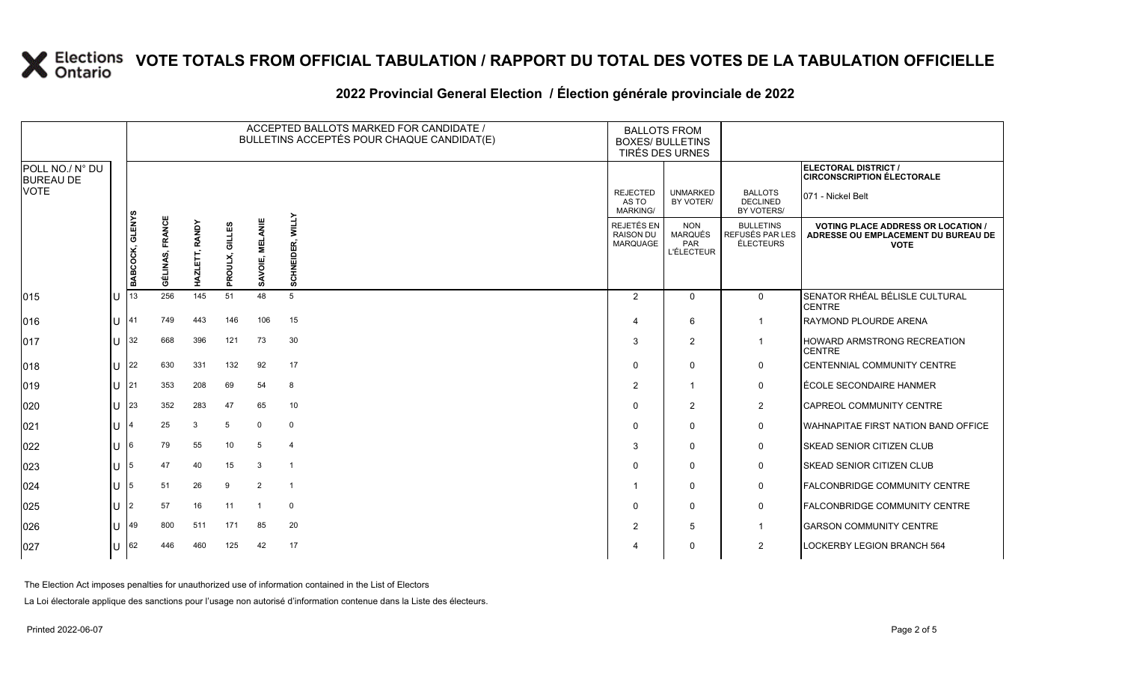### **2022 Provincial General Election / Élection générale provinciale de 2022**

|                                     |     |                 |                 |                |                   | ACCEPTED BALLOTS MARKED FOR CANDIDATE /<br>BULLETINS ACCEPTÉS POUR CHAQUE CANDIDAT(E) | <b>BALLOTS FROM</b><br><b>BOXES/ BULLETINS</b><br>TIRÉS DES URNES |                                            |                                                          |                                                         |                                                                                                 |
|-------------------------------------|-----|-----------------|-----------------|----------------|-------------------|---------------------------------------------------------------------------------------|-------------------------------------------------------------------|--------------------------------------------|----------------------------------------------------------|---------------------------------------------------------|-------------------------------------------------------------------------------------------------|
| POLL NO./ N° DU<br><b>BUREAU DE</b> |     |                 |                 |                |                   |                                                                                       |                                                                   |                                            |                                                          |                                                         | ELECTORAL DISTRICT /<br><b>CIRCONSCRIPTION ÉLECTORALE</b>                                       |
| <b>VOTE</b>                         |     |                 |                 |                |                   |                                                                                       |                                                                   | <b>REJECTED</b><br>AS TO<br>MARKING/       | <b>UNMARKED</b><br>BY VOTER/                             | <b>BALLOTS</b><br><b>DECLINED</b><br>BY VOTERS/         | 071 - Nickel Belt                                                                               |
|                                     |     | BABCOCK, GLENYS | GÉLINAS, FRANCE | HAZLETT, RANDY | GILLES<br>PROULX, | SAVOIE, MELANIE                                                                       | <b>WILLY</b><br>SCHNEIDER,                                        | REJETÉS EN<br><b>RAISON DU</b><br>MARQUAGE | <b>NON</b><br><b>MARQUÉS</b><br>PAR<br><b>L'ÉLECTEUR</b> | <b>BULLETINS</b><br>REFUSÉS PAR LES<br><b>ÉLECTEURS</b> | <b>VOTING PLACE ADDRESS OR LOCATION /</b><br>ADRESSE OU EMPLACEMENT DU BUREAU DE<br><b>VOTE</b> |
| $ 015\rangle$                       | lU  | 13              | 256             | 145            | 51                | 48                                                                                    | 5                                                                 | 2                                          | $\Omega$                                                 | $\mathbf 0$                                             | SENATOR RHÉAL BÉLISLE CULTURAL<br><b>CENTRE</b>                                                 |
| 016                                 | lu  | 41              | 749             | 443            | 146               | 106                                                                                   | 15                                                                | 4                                          | 6                                                        |                                                         | <b>RAYMOND PLOURDE ARENA</b>                                                                    |
| $ 017\rangle$                       | lu  | 32              | 668             | 396            | 121               | 73                                                                                    | 30                                                                | 3                                          | $\overline{2}$                                           | $\mathbf 1$                                             | <b>HOWARD ARMSTRONG RECREATION</b><br><b>CENTRE</b>                                             |
| $ 018\rangle$                       | lu  | $ 22\rangle$    | 630             | 331            | 132               | 92                                                                                    | 17                                                                | $\Omega$                                   | $\Omega$                                                 | $\mathbf 0$                                             | <b>ICENTENNIAL COMMUNITY CENTRE</b>                                                             |
| $ 019\rangle$                       | lu. | 21              | 353             | 208            | 69                | 54                                                                                    | 8                                                                 | $\overline{2}$                             | $\overline{1}$                                           | $\mathsf{O}$                                            | LÉCOLE SECONDAIRE HANMER                                                                        |
| 020                                 | lu  | 23              | 352             | 283            | 47                | 65                                                                                    | 10                                                                | $\Omega$                                   | 2                                                        | $\overline{2}$                                          | CAPREOL COMMUNITY CENTRE                                                                        |
| 021                                 | lu. |                 | 25              | 3              | 5                 | $\mathbf 0$                                                                           | $\mathbf 0$                                                       | $\Omega$                                   | $\Omega$                                                 | $\mathsf{O}$                                            | <b>WAHNAPITAE FIRST NATION BAND OFFICE</b>                                                      |
| 022                                 | lu  |                 | 79              | 55             | 10                | 5                                                                                     | $\overline{4}$                                                    | 3                                          | $\mathbf 0$                                              | $\mathbf 0$                                             | <b>SKEAD SENIOR CITIZEN CLUB</b>                                                                |
| 023                                 | lu  | 5               | 47              | 40             | 15                | 3                                                                                     | $\overline{1}$                                                    | $\Omega$                                   | $\Omega$                                                 | $\mathsf{O}$                                            | <b>ISKEAD SENIOR CITIZEN CLUB</b>                                                               |
| 024                                 | ΙU  |                 | 51              | 26             | 9                 | 2                                                                                     | $\overline{1}$                                                    |                                            | $\mathbf 0$                                              | $\mathsf{O}$                                            | <b>FALCONBRIDGE COMMUNITY CENTRE</b>                                                            |
| 025                                 | lu  |                 | 57              | 16             | 11                | -1                                                                                    | $\mathbf 0$                                                       | $\Omega$                                   | $\mathbf 0$                                              | $\mathbf 0$                                             | <b>FALCONBRIDGE COMMUNITY CENTRE</b>                                                            |
| 026                                 | lU  | 49              | 800             | 511            | 171               | 85                                                                                    | 20                                                                | $\overline{2}$                             | 5                                                        | $\overline{1}$                                          | <b>GARSON COMMUNITY CENTRE</b>                                                                  |
| 027                                 | lu  | 62              | 446             | 460            | 125               | 42                                                                                    | 17                                                                |                                            | $\mathbf 0$                                              | 2                                                       | <b>LOCKERBY LEGION BRANCH 564</b>                                                               |

The Election Act imposes penalties for unauthorized use of information contained in the List of Electors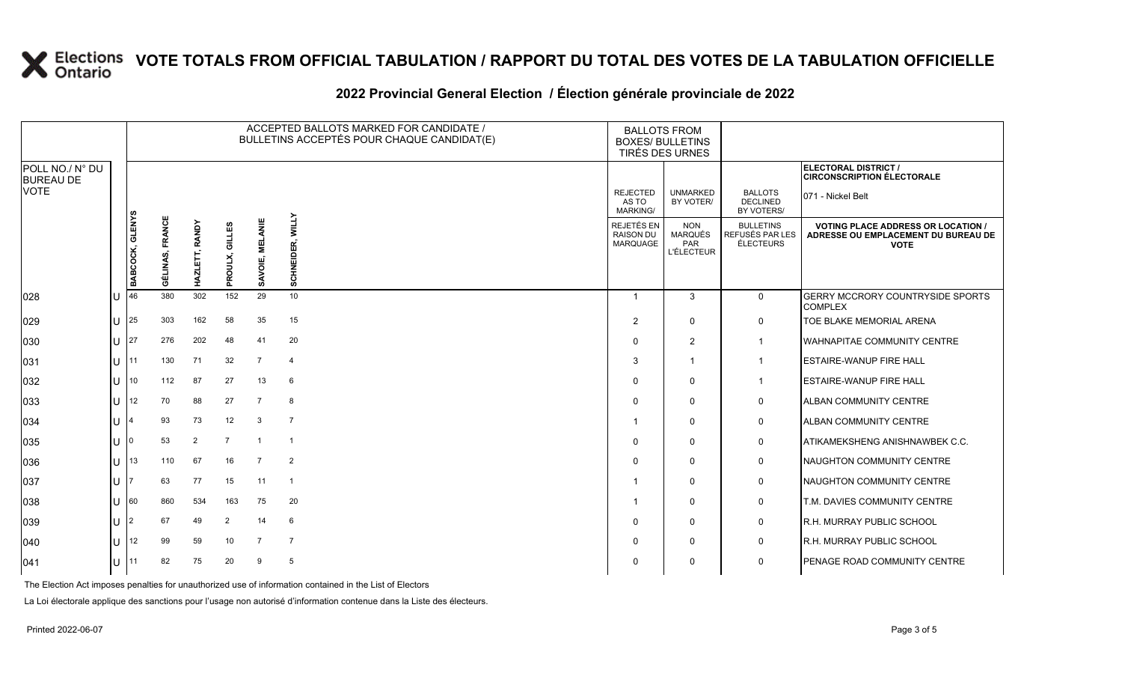### **2022 Provincial General Election / Élection générale provinciale de 2022**

|                                     |              |                 |                 |                          |                   | ACCEPTED BALLOTS MARKED FOR CANDIDATE /<br>BULLETINS ACCEPTÉS POUR CHAQUE CANDIDAT(E) |                            |                                             | <b>BALLOTS FROM</b><br><b>BOXES/ BULLETINS</b><br>TIRÉS DES URNES |                                                  |                                                                                                 |
|-------------------------------------|--------------|-----------------|-----------------|--------------------------|-------------------|---------------------------------------------------------------------------------------|----------------------------|---------------------------------------------|-------------------------------------------------------------------|--------------------------------------------------|-------------------------------------------------------------------------------------------------|
| POLL NO./ N° DU<br><b>BUREAU DE</b> |              |                 |                 |                          |                   |                                                                                       |                            |                                             |                                                                   |                                                  | ELECTORAL DISTRICT /<br><b>CIRCONSCRIPTION ÉLECTORALE</b>                                       |
| <b>VOTE</b>                         |              |                 |                 |                          |                   |                                                                                       |                            | <b>REJECTED</b><br>AS TO<br><b>MARKING/</b> | <b>UNMARKED</b><br>BY VOTER/                                      | <b>BALLOTS</b><br><b>DECLINED</b><br>BY VOTERS/  | 071 - Nickel Belt                                                                               |
|                                     |              | BABCOCK, GLENYS | GÉLINAS, FRANCE | <b>RANDY</b><br>HAZLETT, | GILLES<br>PROULX, | <b>MELANI</b><br>ᇹ<br>ŠAV                                                             | <b>WILLY</b><br>SCHNEIDER, | REJETÉS EN<br><b>RAISON DU</b><br>MARQUAGE  | <b>NON</b><br><b>MARQUÉS</b><br>PAR<br><b>L'ÉLECTEUR</b>          | <b>BULLETINS</b><br>REFUSÉS PAR LES<br>ÉLECTEURS | <b>VOTING PLACE ADDRESS OR LOCATION /</b><br>ADRESSE OU EMPLACEMENT DU BUREAU DE<br><b>VOTE</b> |
| 028                                 | U            | 46              | 380             | 302                      | 152               | 29                                                                                    | 10                         | -1                                          | 3                                                                 | $\mathbf 0$                                      | <b>GERRY MCCRORY COUNTRYSIDE SPORTS</b><br><b>COMPLEX</b>                                       |
| 029                                 | U            | 25              | 303             | 162                      | 58                | 35                                                                                    | 15                         | $\overline{2}$                              | $\mathbf 0$                                                       | 0                                                | TOE BLAKE MEMORIAL ARENA                                                                        |
| 030                                 | ΙU           | 127             | 276             | 202                      | 48                | 41                                                                                    | 20                         | $\Omega$                                    | $\overline{2}$                                                    | $\overline{1}$                                   | <b>WAHNAPITAE COMMUNITY CENTRE</b>                                                              |
| 031                                 | lu -         | 11              | 130             | 71                       | 32                | $\overline{7}$                                                                        | $\overline{4}$             | 3                                           | -1                                                                | $\mathbf 1$                                      | <b>ESTAIRE-WANUP FIRE HALL</b>                                                                  |
| 032                                 | $\bigcup$ 10 |                 | 112             | 87                       | 27                | 13                                                                                    | -6                         | $\Omega$                                    | 0                                                                 | $\mathbf 1$                                      | <b>ESTAIRE-WANUP FIRE HALL</b>                                                                  |
| 033                                 | ΠL           | 12              | 70              | 88                       | 27                | $\overline{7}$                                                                        | 8                          | $\Omega$                                    | $\mathbf{0}$                                                      | 0                                                | <b>ALBAN COMMUNITY CENTRE</b>                                                                   |
| 034                                 | U            |                 | 93              | 73                       | 12                | 3                                                                                     | $\overline{7}$             |                                             | $\mathbf 0$                                                       | 0                                                | <b>ALBAN COMMUNITY CENTRE</b>                                                                   |
| 035                                 | IU.          | 10              | 53              | 2                        | $\overline{7}$    |                                                                                       | $\overline{1}$             | $\Omega$                                    | $\mathbf{0}$                                                      | 0                                                | ATIKAMEKSHENG ANISHNAWBEK C.C.                                                                  |
| 036                                 | lu           | 13              | 110             | 67                       | 16                | $\overline{7}$                                                                        | $\overline{2}$             | $\Omega$                                    | $\mathbf{0}$                                                      | 0                                                | NAUGHTON COMMUNITY CENTRE                                                                       |
| 037                                 | U            |                 | 63              | 77                       | 15                | 11                                                                                    | $\overline{1}$             |                                             | $\Omega$                                                          | 0                                                | NAUGHTON COMMUNITY CENTRE                                                                       |
| 038                                 | lU.          | 160             | 860             | 534                      | 163               | 75                                                                                    | 20                         |                                             | $\mathbf{0}$                                                      | 0                                                | T.M. DAVIES COMMUNITY CENTRE                                                                    |
| 039                                 | ΙU           | l2              | 67              | 49                       | 2                 | 14                                                                                    | 6                          | $\Omega$                                    | $\Omega$                                                          | 0                                                | <b>R.H. MURRAY PUBLIC SCHOOL</b>                                                                |
| 040                                 | U            | 12              | 99              | 59                       | 10                | $\overline{7}$                                                                        | $\overline{7}$             | $\Omega$                                    | $\mathbf{0}$                                                      | 0                                                | <b>R.H. MURRAY PUBLIC SCHOOL</b>                                                                |
| 041                                 | U            | 11              | 82              | 75                       | 20                | 9                                                                                     | 5                          | $\Omega$                                    | $\Omega$                                                          | 0                                                | PENAGE ROAD COMMUNITY CENTRE                                                                    |

The Election Act imposes penalties for unauthorized use of information contained in the List of Electors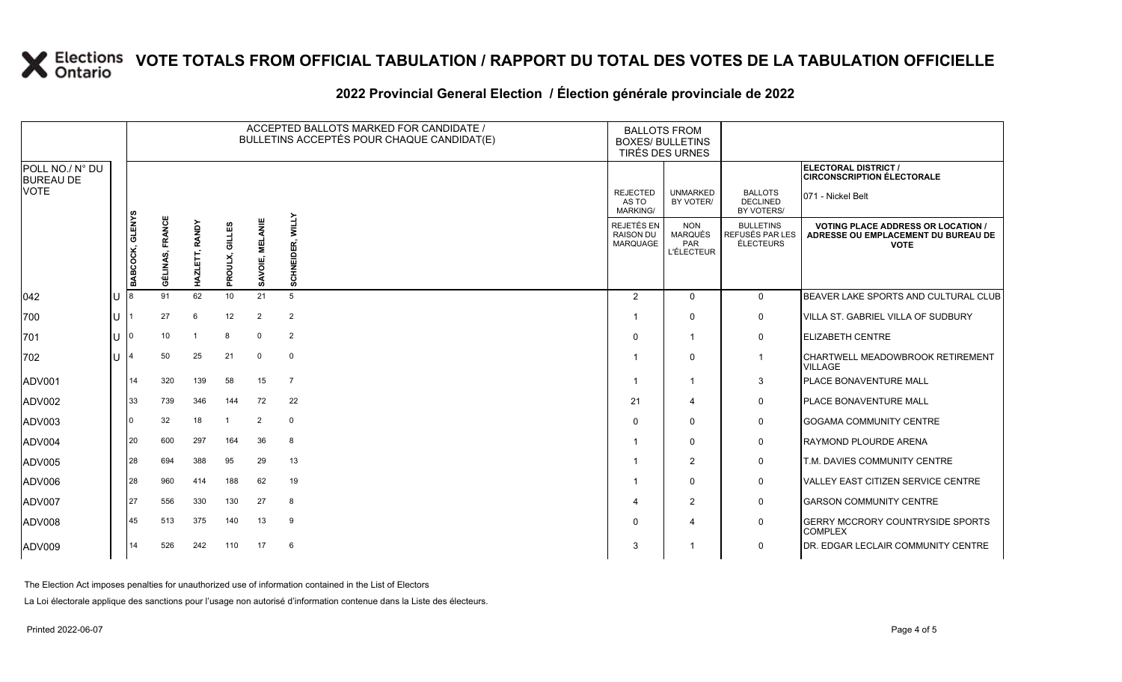### **2022 Provincial General Election / Élection générale provinciale de 2022**

|                                     |    |                 |                           |                |                   |                           | ACCEPTED BALLOTS MARKED FOR CANDIDATE /<br>BULLETINS ACCEPTÉS POUR CHAQUE CANDIDAT(E) | <b>BALLOTS FROM</b><br><b>BOXES/ BULLETINS</b><br>TIRÉS DES URNES |                                                          |                                                  |                                                                                                 |
|-------------------------------------|----|-----------------|---------------------------|----------------|-------------------|---------------------------|---------------------------------------------------------------------------------------|-------------------------------------------------------------------|----------------------------------------------------------|--------------------------------------------------|-------------------------------------------------------------------------------------------------|
| POLL NO./ N° DU<br><b>BUREAU DE</b> |    |                 |                           |                |                   |                           |                                                                                       |                                                                   |                                                          |                                                  | ELECTORAL DISTRICT /<br><b>CIRCONSCRIPTION ÉLECTORALE</b>                                       |
| <b>VOTE</b>                         |    |                 |                           |                |                   |                           |                                                                                       | <b>REJECTED</b><br>AS TO<br><b>MARKING/</b>                       | <b>UNMARKED</b><br>BY VOTER/                             | <b>BALLOTS</b><br><b>DECLINED</b><br>BY VOTERS/  | 071 - Nickel Belt                                                                               |
|                                     |    | BABCOCK, GLENYS | <b>FRANCE</b><br>GÉLINAS, | HAZLETT, RANDY | GILLES<br>PROULX, | <b>MELANIE</b><br>SAVOIE, | <b>WILLY</b><br>SCHNEIDER,                                                            | REJETÉS EN<br><b>RAISON DU</b><br><b>MARQUAGE</b>                 | <b>NON</b><br><b>MARQUÉS</b><br>PAR<br><b>L'ÉLECTEUR</b> | <b>BULLETINS</b><br>REFUSÉS PAR LES<br>ÉLECTEURS | <b>VOTING PLACE ADDRESS OR LOCATION /</b><br>ADRESSE OU EMPLACEMENT DU BUREAU DE<br><b>VOTE</b> |
| $ 042\rangle$                       | lU |                 | 91                        | 62             | 10 <sup>°</sup>   | 21                        | 5                                                                                     | 2                                                                 | $\Omega$                                                 | $\overline{0}$                                   | BEAVER LAKE SPORTS AND CULTURAL CLUB                                                            |
| 700                                 | lu |                 | 27                        | 6              | 12                | $\overline{2}$            | 2                                                                                     |                                                                   | $\Omega$                                                 | $\mathbf 0$                                      | <b>VILLA ST. GABRIEL VILLA OF SUDBURY</b>                                                       |
| 701                                 | lU | 0               | 10                        | -1             | 8                 | $\mathbf 0$               | $\overline{2}$                                                                        | $\mathbf 0$                                                       |                                                          | $\mathbf 0$                                      | <b>ELIZABETH CENTRE</b>                                                                         |
| 702                                 | hт |                 | 50                        | 25             | 21                | $\overline{0}$            | $\mathbf 0$                                                                           |                                                                   | $\Omega$                                                 | $\overline{1}$                                   | CHARTWELL MEADOWBROOK RETIREMENT<br><b>VILLAGE</b>                                              |
| ADV001                              |    | 14              | 320                       | 139            | 58                | 15                        | $\overline{7}$                                                                        |                                                                   | -1                                                       | 3                                                | PLACE BONAVENTURE MALL                                                                          |
| ADV002                              |    | 33              | 739                       | 346            | 144               | 72                        | 22                                                                                    | 21                                                                | $\boldsymbol{\Delta}$                                    | $\mathbf 0$                                      | PLACE BONAVENTURE MALL                                                                          |
| ADV003                              |    | <sup>0</sup>    | 32                        | 18             | -1                | 2                         | $\mathbf{0}$                                                                          | $\Omega$                                                          | 0                                                        | $\mathbf 0$                                      | <b>GOGAMA COMMUNITY CENTRE</b>                                                                  |
| ADV004                              |    | 20              | 600                       | 297            | 164               | 36                        | 8                                                                                     |                                                                   | $\Omega$                                                 | $\mathbf 0$                                      | RAYMOND PLOURDE ARENA                                                                           |
| ADV005                              |    | 28              | 694                       | 388            | 95                | 29                        | 13                                                                                    |                                                                   | $\overline{2}$                                           | $\mathbf 0$                                      | <b>T.M. DAVIES COMMUNITY CENTRE</b>                                                             |
| ADV006                              |    | 28              | 960                       | 414            | 188               | 62                        | 19                                                                                    |                                                                   | $\Omega$                                                 | $\mathbf 0$                                      | <b>VALLEY EAST CITIZEN SERVICE CENTRE</b>                                                       |
| ADV007                              |    | 27              | 556                       | 330            | 130               | 27                        | 8                                                                                     | $\boldsymbol{\varDelta}$                                          | $\overline{2}$                                           | $\mathbf 0$                                      | <b>GARSON COMMUNITY CENTRE</b>                                                                  |
| ADV008                              |    | 45              | 513                       | 375            | 140               | 13                        | 9                                                                                     | $\Omega$                                                          | $\boldsymbol{\Delta}$                                    | $\mathbf 0$                                      | <b>GERRY MCCRORY COUNTRYSIDE SPORTS</b><br><b>COMPLEX</b>                                       |
| ADV009                              |    | 14              | 526                       | 242            | 110               | 17                        | 6                                                                                     | -3                                                                |                                                          | $\mathbf 0$                                      | DR. EDGAR LECLAIR COMMUNITY CENTRE                                                              |

The Election Act imposes penalties for unauthorized use of information contained in the List of Electors